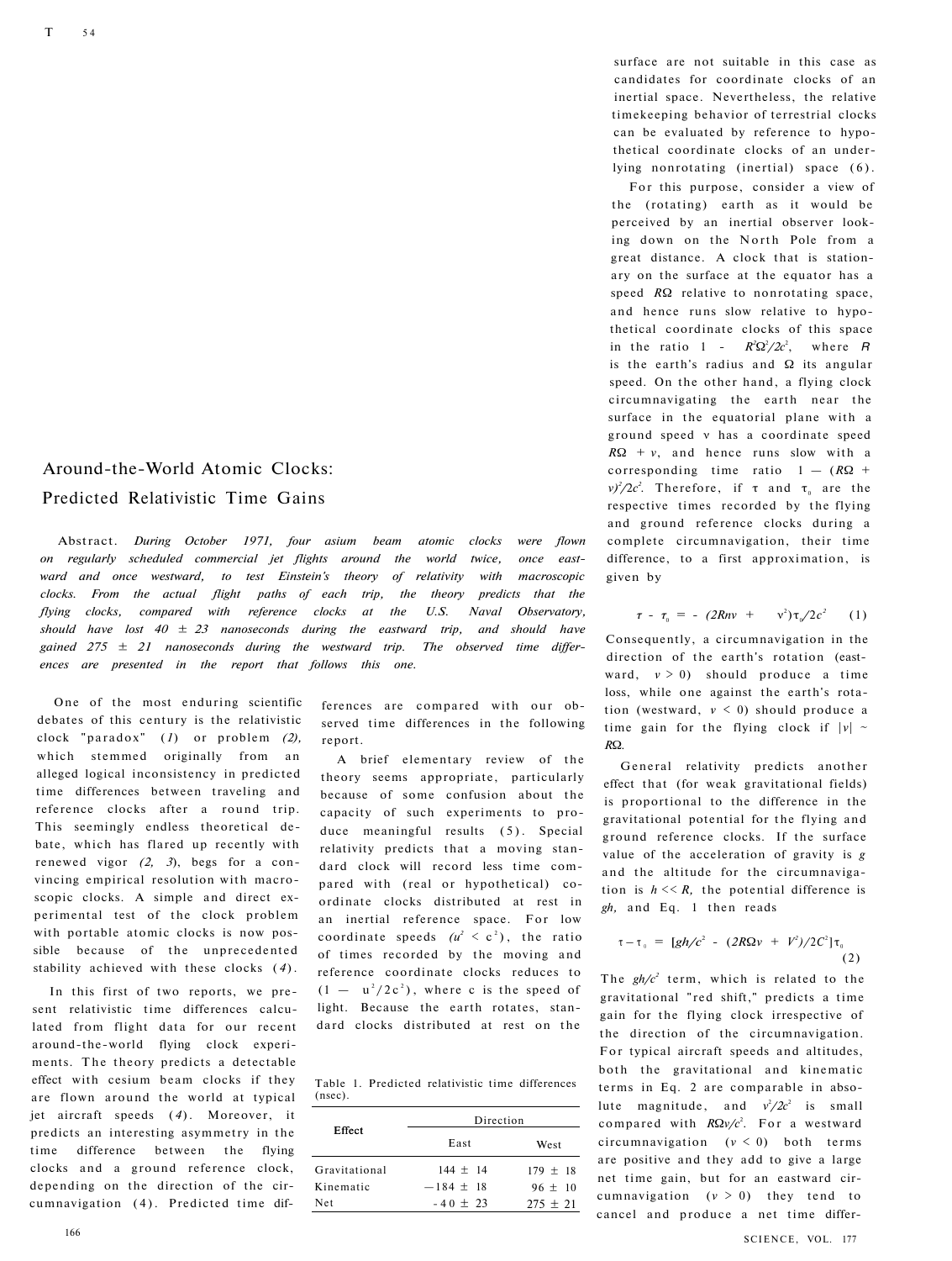## Around-the-World Atomic Clocks: Predicted Relativistic Time Gains

Abstract. *During October 1971, four asium beam atomic clocks were flown on regularly scheduled commercial jet flights around the world twice, once eastward and once westward, to test Einstein's theory of relativity with macroscopic clocks. From the actual flight paths of each trip, the theory predicts that the flying clocks, compared with reference clocks at the U.S. Naval Observatory, should have lost 40 ± 23 nanoseconds during the eastward trip, and should have gained 275 ± 21 nanoseconds during the westward trip. The observed time differences are presented in the report that follows this one.* 

One of the most enduring scientific debates of this century is the relativistic clock "paradox" (1) or problem (2), which stemmed originally from an alleged logical inconsistency in predicted time differences between traveling and reference clocks after a round trip. This seemingly endless theoretical debate, which has flared up recently with renewed vigor *(2, 3*), begs for a convincing empirical resolution with macroscopic clocks. A simple and direct experimental test of the clock problem with portable atomic clocks is now possible because of the unprecedented stability achieved with these clocks ( *4* ).

In this first of two reports, we present relativistic time differences calculated from flight data for our recent around-the-world flying clock experiments. The theory predicts a detectable effect with cesium beam clocks if they are flown around the world at typical jet aircraft speeds (4). Moreover, it predicts an interesting asymmetry in the time difference between the flying clocks and a ground reference clock, depending on the direction of the circumnavigation (4). Predicted time differences are compared with our observed time differences in the following report.

A brief elementary review of the theory seems appropriate, particularly because of some confusion about the capacity of such experiments to produce meaningful results (5). Special relativity predicts that a moving standard clock will record less time compared with (real or hypothetical) coordinate clocks distributed at rest in an inertial reference space. For low coordinate speeds  $(u^2 \lt c^2)$ , the ratio of times recorded by the moving and reference coordinate clocks reduces to  $(1 - u^2/2c^2)$ , where c is the speed of light. Because the earth rotates, standard clocks distributed at rest on the

Table 1. Predicted relativistic time differences (nsec).

| Effect        | Direction   |            |
|---------------|-------------|------------|
|               | East        | West       |
| Gravitational | $144 + 14$  | $179 + 18$ |
| Kinematic     | $-184 + 18$ | $96 + 10$  |
| Net           | $-40 + 23$  | $275 + 21$ |

surface are not suitable in this case as candidates for coordinate clocks of an inertial space. Nevertheless, the relative timekeeping behavior of terrestrial clocks can be evaluated by reference to hypothetical coordinate clocks of an underlying nonrotating (inertial) space (6).

For this purpose, consider a view of the (rotating) earth as it would be perceived by an inertial observer looking down on the North Pole from a great distance. A clock that is stationary on the surface at the equator has a speed *R*Ω relative to nonrotating space, and hence runs slow relative to hypothetical coordinate clocks of this space in the ratio 1 -  $R^2\Omega^2/2c^2$ , where *R* is the earth's radius and  $\Omega$  its angular speed. On the other hand, a flying clock circumnavigating the earth near the surface in the equatorial plane with a ground speed ν has a coordinate speed *R*Ω *+ v*, and hence runs slow with a corresponding time ratio  $1 - (R\Omega +$  $\nu$ <sup>2</sup>/2*c*<sup>2</sup>. Therefore, if  $\tau$  and  $\tau$ <sub>0</sub> are the respective times recorded by the flying and ground reference clocks during a complete circumnavigation, their time difference, to a first approximation, is given by

$$
\tau - \tau_0 = - (2Rnv + v^2)\tau_0/2c^2 \qquad (1)
$$

Consequently, a circumnavigation in the direction of the earth's rotation (eastward, *ν* > 0) should produce a time loss, while one against the earth's rotation (westward, *ν* < 0) should produce a time gain for the flying clock if  $|v|$  ~ *R*Ω*.* 

General relativity predicts another effect that (for weak gravitational fields) is proportional to the difference in the gravitational potential for the flying and ground reference clocks. If the surface value of the acceleration of gravity is *g*  and the altitude for the circumnavigation is  $h \ll R$ , the potential difference is *gh,* and Eq. 1 then reads

$$
\tau - \tau_{0} = [gh/c^{2} - (2R\Omega v + V^{2})/2C^{2}] \tau_{0}
$$
\n(2)

The  $gh/c^2$  term, which is related to the gravitational "red shift," predicts a time gain for the flying clock irrespective of the direction of the circumnavigation. For typical aircraft speeds and altitudes, both the gravitational and kinematic terms in Eq. 2 are comparable in absolute magnitude, and  $v^2/2c^2$  is small compared with  $RΩv/c<sup>2</sup>$ . For a westward circumnavigation  $(v < 0)$  both terms are positive and they add to give a large net time gain, but for an eastward circumnavigation  $(v > 0)$  they tend to cancel and produce a net time differ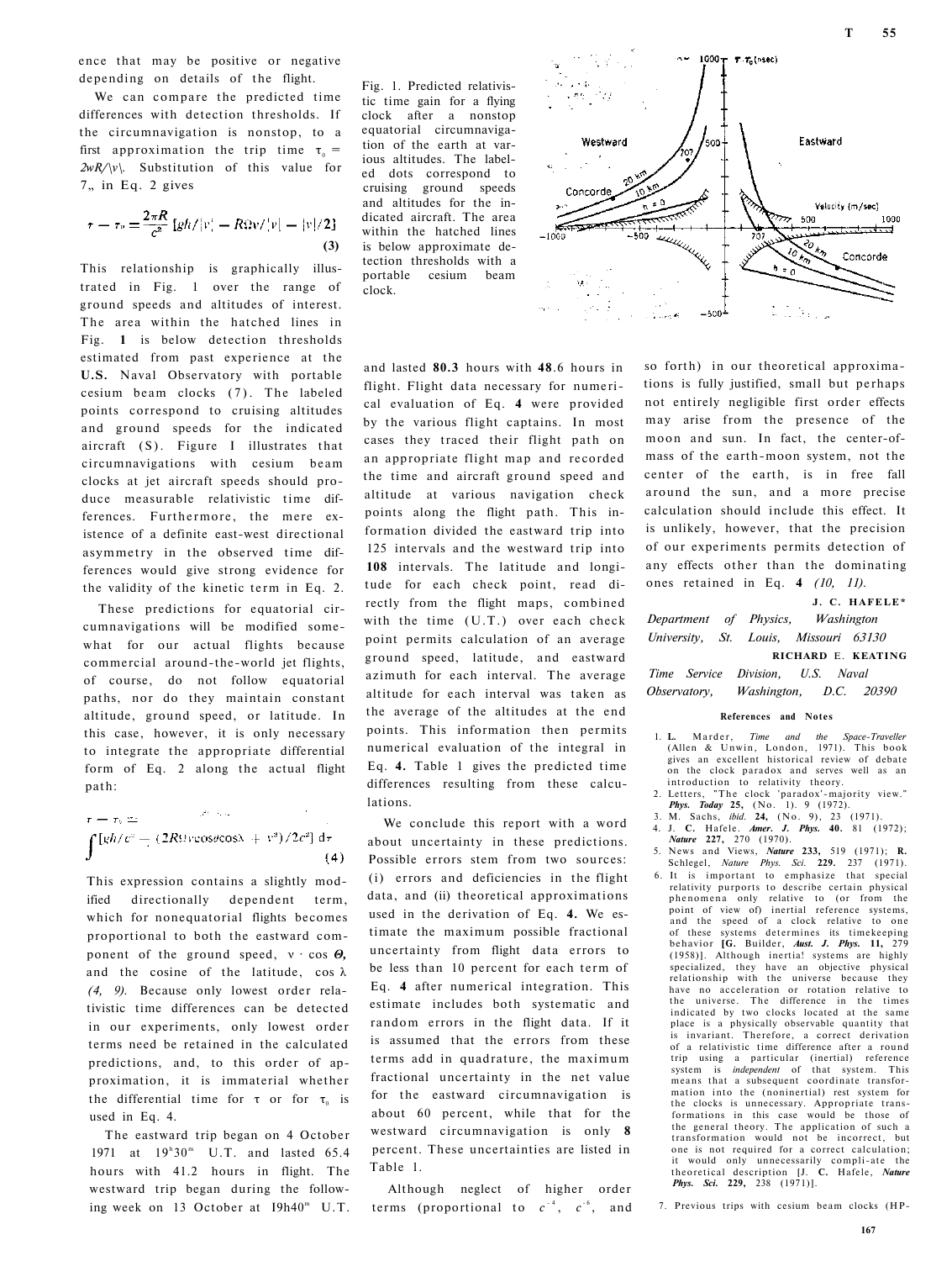ence that may be positive or negative depending on details of the flight.

We can compare the predicted time differences with detection thresholds. If the circumnavigation is nonstop, to a first approximation the trip time  $\tau_0 =$ *2wR/\v\.* Substitution of this value for 7. in Eq. 2 gives

$$
\tau = \tau_0 = \frac{2\pi R}{c^2} \left[ g h / |v| - R \Omega v / |v| - |v| / 2 \right]
$$
\n(3)

This relationship is graphically illustrated in Fig. 1 over the range of ground speeds and altitudes of interest. The area within the hatched lines in Fig. **1** is below detection thresholds estimated from past experience at the **U.S.** Naval Observatory with portable cesium beam clocks (7). The labeled points correspond to cruising altitudes and ground speeds for the indicated aircraft (S). Figure I illustrates that circumnavigations with cesium beam clocks at jet aircraft speeds should produce measurable relativistic time differences. Furthermore, the mere existence of a definite east-west directional asymmetry in the observed time differences would give strong evidence for the validity of the kinetic term in Eq. 2.

These predictions for equatorial circumnavigations will be modified somewhat for our actual flights because commercial around-the-world jet flights, of course, do not follow equatorial paths, nor do they maintain constant altitude, ground speed, or latitude. In this case, however, it is only necessary to integrate the appropriate differential form of Eq. 2 along the actual flight path:

$$
\tau = \tau_0 \pm \int [gh/c^2 - (2R\Omega)\cos\theta\cos\lambda + v^2)/2c^2] d\tau
$$
\n(4)

This expression contains a slightly modified directionally dependent term, which for nonequatorial flights becomes proportional to both the eastward component of the ground speed, ν · cos *Θ,*  and the cosine of the latitude, cos λ *(4, 9).* Because only lowest order relativistic time differences can be detected in our experiments, only lowest order terms need be retained in the calculated predictions, and, to this order of approximation, it is immaterial whether the differential time for  $\tau$  or for  $\tau_0$  is used in Eq. 4.

The eastward trip began on 4 October 1971 at  $19^{h}30^{m}$  U.T. and lasted 65.4 hours with 41.2 hours in flight. The westward trip began during the following week on 13 October at I9h40<sup>m</sup> U.T.

Fig. 1. Predicted relativistic time gain for a flying clock after a nonstop equatorial circumnavigation of the earth at various altitudes. The labeled dots correspond to cruising ground speeds and altitudes for the indicated aircraft. The area within the hatched lines is below approximate detection thresholds with a portable cesium beam clock.



and lasted **80.3** hours with **48**.6 hours in flight. Flight data necessary for numerical evaluation of Eq. **4** were provided by the various flight captains. In most cases they traced their flight path on an appropriate flight map and recorded the time and aircraft ground speed and altitude at various navigation check points along the flight path. This information divided the eastward trip into 125 intervals and the westward trip into **108** intervals. The latitude and longitude for each check point, read directly from the flight maps, combined with the time (U.T.) over each check point permits calculation of an average ground speed, latitude, and eastward azimuth for each interval. The average altitude for each interval was taken as the average of the altitudes at the end points. This information then permits numerical evaluation of the integral in Eq. **4.** Table 1 gives the predicted time differences resulting from these calculations.

We conclude this report with a word about uncertainty in these predictions. Possible errors stem from two sources: (i) errors and deficiencies in the flight data, and (ii) theoretical approximations used in the derivation of Eq. **4.** We estimate the maximum possible fractional uncertainty from flight data errors to be less than 10 percent for each term of Eq. **4** after numerical integration. This estimate includes both systematic and random errors in the flight data. If it is assumed that the errors from these terms add in quadrature, the maximum fractional uncertainty in the net value for the eastward circumnavigation is about 60 percent, while that for the westward circumnavigation is only **8**  percent. These uncertainties are listed in Table 1.

Although neglect of higher order terms (proportional to  $c^{-4}$ ,  $c^{-6}$ , and so forth) in our theoretical approximations is fully justified, small but perhaps not entirely negligible first order effects may arise from the presence of the moon and sun. In fact, the center-ofmass of the earth-moon system, not the center of the earth, is in free fall around the sun, and a more precise calculation should include this effect. It is unlikely, however, that the precision of our experiments permits detection of any effects other than the dominating ones retained in Eq. **4** *(10, 11).* 

**J. C. HAFELE\***  *Department of Physics, Washington* 

*University, St. Louis, Missouri 63130*  **RICHARD** E. **KEATING** 

*Time Service Division, U.S. Naval* 

*Observatory, Washington, D.C. 20390* 

## **References and Notes**

- 1. **L.** Marder, *Time and the Space-Traveller*  (Allen & Unwin, London, 1971). This book gives an excellent historical review of debate on the clock paradox and serves well as an introduction to relativity theory.
- 2. Letters, "The clock 'paradox'-majority view."
- *Phys. Today* **25,** (No. 1). 9 (1972). 3. M. Sachs, *ibid.* **24,** (No. 9), 23 (1971).
- 4. J. **C.** Hafele. *Amer. J. Phys.* **40.** 81 (1972); *Nature* **227,** 270 (1970).
- 5. News and Views, *Nature* **233,** 519 (1971); **R.**  Schlegel, *Nature Phys. Sci.* **229.** 237 (1971).
- 6. It is important to emphasize that special relativity purports to describe certain physical phenomena only relative to (or from the point of view of) inertial reference systems, and the speed of a clock relative to one of these systems determines its timekeeping<br>behavior  $IG.$  Builder. Aust. I. Phys. 11 279 behavior [G. Builder, *Aust. J. Phys.* 11, (1958)]. Although inertia! systems are highly specialized, they have an objective physical relationship with the universe because they have no acceleration or rotation relative to the universe. The difference in the times indicated by two clocks located at the same place is a physically observable quantity that is invariant. Therefore, a correct derivation of a relativistic time difference after a round trip using a particular (inertial) reference system is *independent* of that system. This means that a subsequent coordinate transformation into the (noninertial) rest system for the clocks is unnecessary. Appropriate transformations in this case would be those of the general theory. The application of such a transformation would not be incorrect, but one is not required for a correct calculation; it would only unnecessarily compli-ate the theoretical description [J. **C.** Hafele, *Nature Phys. Sci.* **229,** 238 (1971)].

7. Previous trips with cesium beam clocks (HP-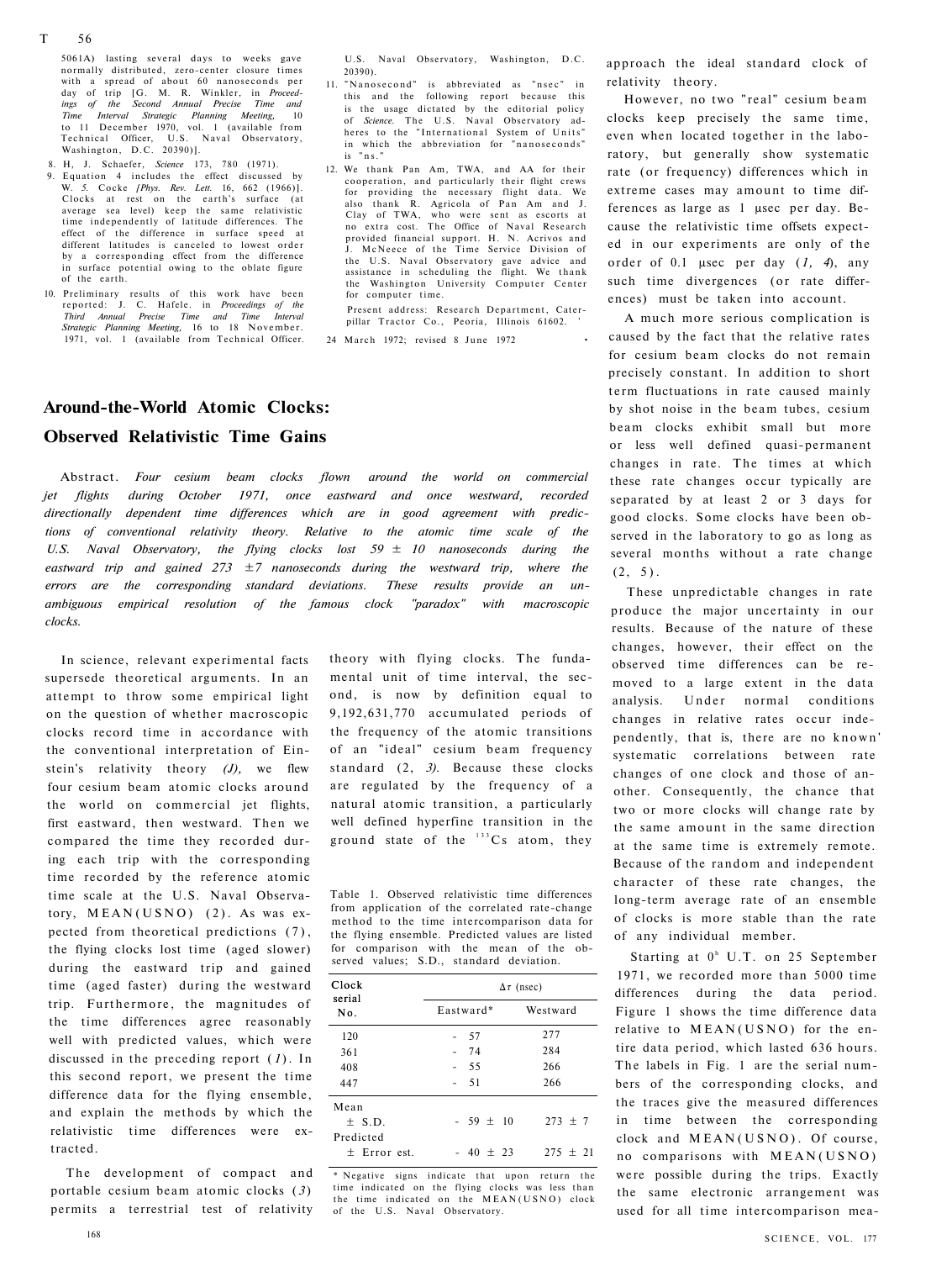5061A) lasting several days to weeks gave normally distributed, zero-center closure times with a spread of about 60 nanoseconds per day of trip [G. M. R. Winkler, in *Proceedings of the Second Annual Precise Time and Time Interval Strategic Planning Meeting,* 10<br>to 11 December 1970, vol. 1 (available from Technical Officer, U.S. Naval Observatory, Washington, D.C. 20390)].

- 8. H, J. Schaefer, *Science* 173, 780 (1971).
- $Equation$  4 includes the effect discussed W. *5.* Cocke *[Phys. Rev. Lett.* 16, 662 (1966)]. Clocks at rest on the earth's surface (at average sea level) keep the same relativistic time independently of latitude differences. The effect of the difference in surface speed at different latitudes is canceled to lowest order by a corresponding effect from the difference in surface potential owing to the oblate figure of the earth.
- 10. Preliminary results of this work have been reported: J. C. Hafele. in *Proceedings of the Third Annual Precise Time and Time Interval Strategic Planning Meeting,* 16 to 18 November. 1971, vol. 1 (available from Technical Officer.

U.S. Naval Observatory, Washington, D.C. 20390).

- 11. "Nanosecond" is abbreviated as "nsec" in this and the following report because this is the usage dictated by the editorial policy of *Science.* The U.S. Naval Observatory adheres to the "International System of Units' in which the abbreviation for "nanoseconds" is "ns."
- 12. We thank Pan Am, TWA, and AA for their cooperation, and particularly their flight crews for providing the necessary flight data. We<br>also thank R. Agricola of Pan Am and J. Clay of TWA, who were sent as escorts at<br>no extra cost. The Office of Naval Research cost. The Office of Naval Research provided financial support. H. N. Acrivos and J. McNeece of the Time Service Division of the U.S. Naval Observatory gave advice and<br>assistance in scheduling the flight. We thank the Washington University Computer Center for computer time.

Present address: Research Department, Caterpillar Tractor Co., Peoria, Illinois 61602.

24 March 1972; revised 8 June 1972 •

## **Around-the-World Atomic Clocks: Observed Relativistic Time Gains**

Abstract. *Four cesium beam clocks flown around the world on commercial jet flights during October 1971, once eastward and once westward, recorded directionally dependent time differences which are in good agreement with predictions of conventional relativity theory. Relative to the atomic time scale of the U.S. Naval Observatory, the flying clocks lost 59 ± 10 nanoseconds during the eastward trip and gained 273 ±7 nanoseconds during the westward trip, where the errors are the corresponding standard deviations. These results provide an unambiguous empirical resolution of the famous clock "paradox" with macroscopic clocks.* 

In science, relevant experimental facts supersede theoretical arguments. In an attempt to throw some empirical light on the question of whether macroscopic clocks record time in accordance with the conventional interpretation of Einstein's relativity theory *(J),* we flew four cesium beam atomic clocks around the world on commercial jet flights, first eastward, then westward. Then we compared the time they recorded during each trip with the corresponding time recorded by the reference atomic time scale at the U.S. Naval Observatory,  $MEAN(USNO)$  (2). As was expected from theoretical predictions (7), the flying clocks lost time (aged slower) during the eastward trip and gained time (aged faster) during the westward trip. Furthermore, the magnitudes of the time differences agree reasonably well with predicted values, which were discussed in the preceding report ( *1* ). In this second report, we present the time difference data for the flying ensemble, and explain the methods by which the relativistic time differences were extracted.

The development of compact and portable cesium beam atomic clocks ( *3* ) permits a terrestrial test of relativity

theory with flying clocks. The fundamental unit of time interval, the second, is now by definition equal to 9,192,631,770 accumulated periods of the frequency of the atomic transitions of an "ideal" cesium beam frequency standard (2, *3).* Because these clocks are regulated by the frequency of a natural atomic transition, a particularly well defined hyperfine transition in the ground state of the  $133$  Cs atom, they

Table 1. Observed relativistic time differences from application of the correlated rate-change method to the time intercomparison data for the flying ensemble. Predicted values are listed for comparison with the mean of the observed values; S.D., standard deviation.

| Clock<br>serial<br>No. | $\Delta \tau$ (nsec) |             |  |
|------------------------|----------------------|-------------|--|
|                        | Eastward*            | Westward    |  |
| 120                    | 57                   | 277         |  |
| 361                    | 74                   | 284         |  |
| 408                    | 55                   | 266         |  |
| 447                    | - 51                 | 266         |  |
| Mean                   |                      |             |  |
| $\pm$ S.D.             | $-59 \pm 10$         | $273 \pm 7$ |  |
| Predicted              |                      |             |  |
| $+$ Error est.         | $-40 + 23$           | $275 + 21$  |  |

\* Negative signs indicate that upon return the time indicated on the flying clocks was less than the time indicated on the  $MEAN(USNO)$  clock of the U.S. Naval Observatory.

approach the ideal standard clock of relativity theory.

However, no two "real" cesium beam clocks keep precisely the same time, even when located together in the laboratory, but generally show systematic rate (or frequency) differences which in extreme cases may amount to time differences as large as 1 μsec per day. Because the relativistic time offsets expected in our experiments are only of the order of 0.1 μsec per day (*1, 4*), any such time divergences (or rate differences) must be taken into account.

A much more serious complication is caused by the fact that the relative rates for cesium beam clocks do not remain precisely constant. In addition to short term fluctuations in rate caused mainly by shot noise in the beam tubes, cesium beam clocks exhibit small but more or less well defined quasi-permanent changes in rate. The times at which these rate changes occur typically are separated by at least 2 or 3 days for good clocks. Some clocks have been observed in the laboratory to go as long as several months without a rate change  $(2, 5)$ .

These unpredictable changes in rate produce the major uncertainty in our results. Because of the nature of these changes, however, their effect on the observed time differences can be removed to a large extent in the data analysis. Under normal conditions changes in relative rates occur independently, that is, there are no known ' systematic correlations between rate changes of one clock and those of another. Consequently, the chance that two or more clocks will change rate by the same amount in the same direction at the same time is extremely remote. Because of the random and independent character of these rate changes, the long-term average rate of an ensemble of clocks is more stable than the rate of any individual member.

Starting at  $0<sup>h</sup>$  U.T. on 25 September 1971, we recorded more than 5000 time differences during the data period. Figure 1 shows the time difference data relative to  $MEAN(USNO)$  for the entire data period, which lasted 636 hours. The labels in Fig. 1 are the serial numbers of the corresponding clocks, and the traces give the measured differences in time between the corresponding clock and MEAN(USNO). Of course, no comparisons with MEAN(USNO ) were possible during the trips. Exactly the same electronic arrangement was used for all time intercomparison mea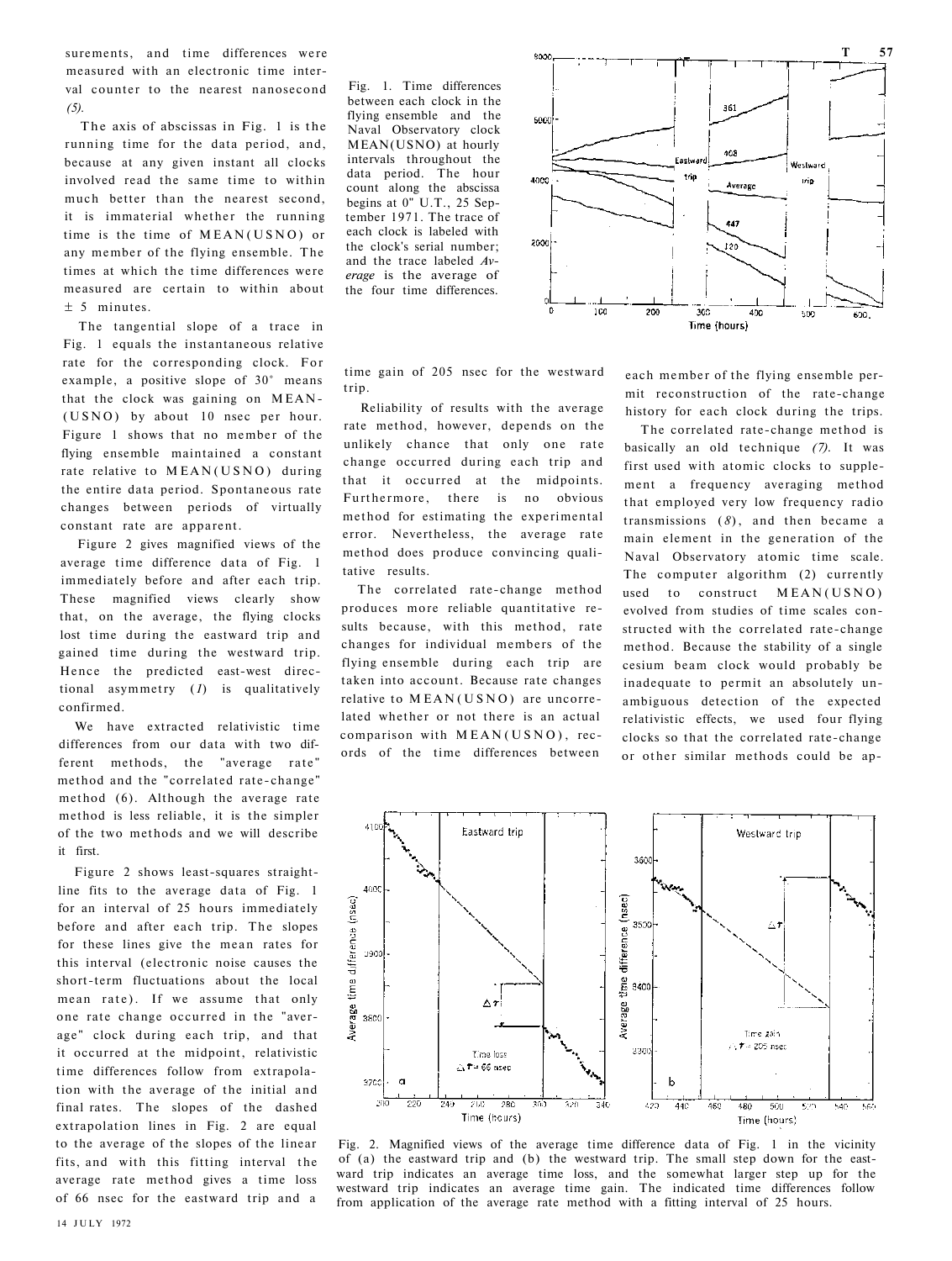surements, and time differences were measured with an electronic time interval counter to the nearest nanosecond *(5).* 

The axis of abscissas in Fig. 1 is the running time for the data period, and, because at any given instant all clocks involved read the same time to within much better than the nearest second, it is immaterial whether the running time is the time of MEAN(USNO) or any member of the flying ensemble. The times at which the time differences were measured are certain to within about ± 5 minutes.

The tangential slope of a trace in Fig. 1 equals the instantaneous relative rate for the corresponding clock. For example, a positive slope of 30° means that the clock was gaining on MEAN - (USNO) by about 10 nsec per hour. Figure 1 shows that no member of the flying ensemble maintained a constant rate relative to MEAN(USNO) during the entire data period. Spontaneous rate changes between periods of virtually constant rate are apparent.

Figure 2 gives magnified views of the average time difference data of Fig. 1 immediately before and after each trip. These magnified views clearly show that, on the average, the flying clocks lost time during the eastward trip and gained time during the westward trip. Hence the predicted east-west directional asymmetry (*1*) is qualitatively confirmed.

We have extracted relativistic time differences from our data with two different methods, the "average rate" method and the "correlated rate-change" method (6). Although the average rate method is less reliable, it is the simpler of the two methods and we will describe it first.

Figure 2 shows least-squares straightline fits to the average data of Fig. 1 for an interval of 25 hours immediately before and after each trip. The slopes for these lines give the mean rates for this interval (electronic noise causes the short-term fluctuations about the local mean rate). If we assume that only one rate change occurred in the "average" clock during each trip, and that it occurred at the midpoint, relativistic time differences follow from extrapolation with the average of the initial and final rates. The slopes of the dashed extrapolation lines in Fig. 2 are equal to the average of the slopes of the linear fits, and with this fitting interval the average rate method gives a time loss of 66 nsec for the eastward trip and a

Fig. 1. Time differences between each clock in the flying ensemble and the Naval Observatory clock MEAN(USNO) at hourly intervals throughout the data period. The hour count along the abscissa begins at 0" U.T., 25 September 1971. The trace of each clock is labeled with the clock's serial number; and the trace labeled *Average* is the average of the four time differences.



time gain of 205 nsec for the westward trin

Reliability of results with the average rate method, however, depends on the unlikely chance that only one rate change occurred during each trip and that it occurred at the midpoints. Furthermore, there is no obvious method for estimating the experimental error. Nevertheless, the average rate method does produce convincing qualitative results.

The correlated rate-change method produces more reliable quantitative results because, with this method, rate changes for individual members of the flying ensemble during each trip are taken into account. Because rate changes relative to  $MEAN(USNO)$  are uncorrelated whether or not there is an actual comparison with  $MEAN(USNO)$ , records of the time differences between

each member of the flying ensemble permit reconstruction of the rate-change history for each clock during the trips.

The correlated rate-change method is basically an old technique *(7).* It was first used with atomic clocks to supplement a frequency averaging method that employed very low frequency radio transmissions  $(8)$ , and then became a main element in the generation of the Naval Observatory atomic time scale. The computer algorithm (2) currently used to construct MEAN(USNO) evolved from studies of time scales constructed with the correlated rate-change method. Because the stability of a single cesium beam clock would probably be inadequate to permit an absolutely unambiguous detection of the expected relativistic effects, we used four flying clocks so that the correlated rate-change or other similar methods could be ap-



Fig. 2. Magnified views of the average time difference data of Fig. 1 in the vicinity of (a) the eastward trip and (b) the westward trip. The small step down for the eastward trip indicates an average time loss, and the somewhat larger step up for the westward trip indicates an average time gain. The indicated time differences follow from application of the average rate method with a fitting interval of 25 hours.